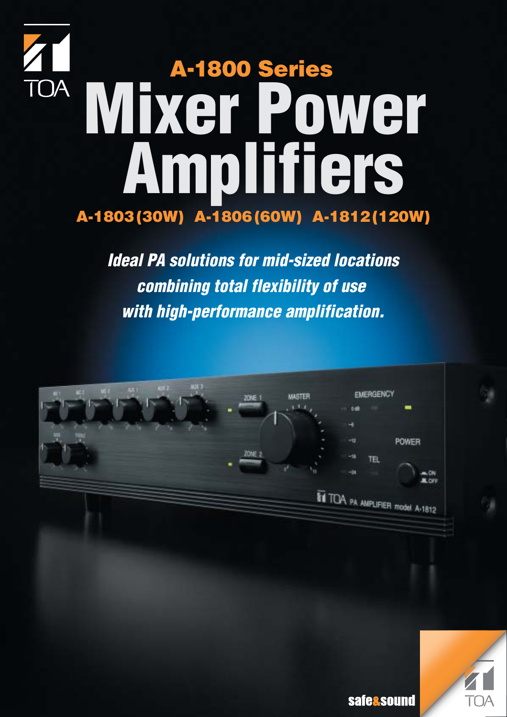# **A-1803 (30W) A-1806 (60W) A-1812 (120W) A-1800 Series Mixer Power Amplifiers**

**Ideal PA solutions for mid-sized locations combining total flexibility of use with high-performance amplification.**



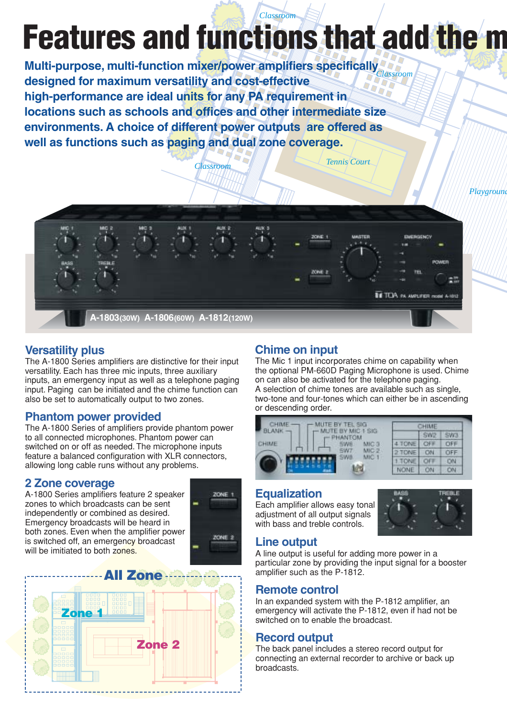### **Features and functions that add the m** *Classroom*

*Classroom Tennis Court*

**Multi-purpose, multi-function mixer/power amplifiers specifically**  *Classroom* **designed for maximum versatility and cost-effective high-performance are ideal units for any PA requirement in locations such as schools and offices and other intermediate size environments. A choice of different power outputs are offered as well as functions such as paging and dual zone coverage.**



### **Versatility plus**

The A-1800 Series amplifiers are distinctive for their input versatility. Each has three mic inputs, three auxiliary inputs, an emergency input as well as a telephone paging input. Paging can be initiated and the chime function can also be set to automatically output to two zones.

### **Phantom power provided**

The A-1800 Series of amplifiers provide phantom power to all connected microphones. Phantom power can switched on or off as needed. The microphone inputs feature a balanced configuration with XLR connectors, allowing long cable runs without any problems.

### **2 Zone coverage**

A-1800 Series amplifiers feature 2 speaker zones to which broadcasts can be sent independently or combined as desired. Emergency broadcasts will be heard in both zones. Even when the amplifier power is switched off, an emergency broadcast will be imitiated to both zones.





### **Chime on input**

The Mic 1 input incorporates chime on capability when the optional PM-660D Paging Microphone is used. Chime on can also be activated for the telephone paging. A selection of chime tones are available such as single, two-tone and four-tones which can either be in ascending or descending order.

| MUTE BY TEL SIG                                     | CHIME  |     |            |
|-----------------------------------------------------|--------|-----|------------|
| - MUTE BY MIC 1 SIG<br><b>BLANK-</b><br>$r$ PHANTOM |        | SWP | EWA        |
| CHIME<br>MIC 3<br><b><i>EMIR</i></b>                | 4 TONE | OFF | OFF        |
| MIC <sub>2</sub><br><b>GW7</b>                      | 2 TONE | ON  | OFF        |
| MIC-1                                               | 1.TONE | OFF | <b>CIN</b> |
|                                                     | NONE   |     | <b>CIV</b> |

### **Equalization**

Each amplifier allows easy tonal adiustment of all output signals with bass and treble controls.



### **Line output**

A line output is useful for adding more power in a particular zone by providing the input signal for a booster amplifier such as the P-1812.

### **Remote control**

In an expanded system with the P-1812 amplifier, an emergency will activate the P-1812, even if had not be switched on to enable the broadcast.

### **Record output**

The back panel includes a stereo record output for connecting an external recorder to archive or back up broadcasts.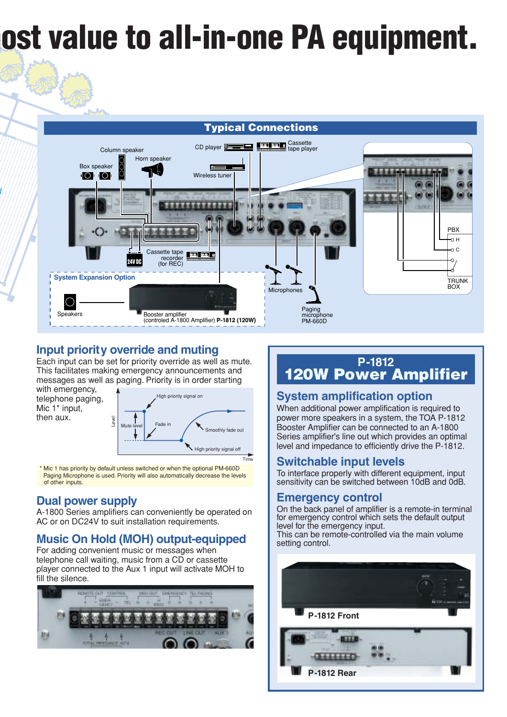## **most value to all-in-one PA equipment.**

### **Typical Connections**



### **Input priority override and muting**

Each input can be set for priority override as well as mute. This facilitates making emergency announcements and messages as well as paging. Priority is in order starting

with emergency, telephone paging, Mic 1\* input, then aux.

*d*



 \* Mic 1 has priority by default unless switched or when the optional PM-660D Paging Microphone is used. Priority will also automatically decrease the levels of other inputs.

### **Dual power supply**

A-1800 Series amplifiers can conveniently be operated on AC or on DC24V to suit installation requirements.

### **Music On Hold (MOH) output-equipped**

For adding convenient music or messages when telephone call waiting, music from a CD or cassette player connected to the Aux 1 input will activate MOH to fill the silence.



### **P-1812 120W Power Amplifier**

### **System amplification option**

When additional power amplification is required to power more speakers in a system, the TOA P-1812 Booster Amplifier can be connected to an A-1800 Series amplifier's line out which provides an optimal level and impedance to efficiently drive the P-1812.

### **Switchable input levels**

To interface properly with different equipment, input sensitivity can be switched between 10dB and 0dB.

### **Emergency control**

On the back panel of amplifier is a remote-in terminal for emergency control which sets the default output level for the emergency input.

This can be remote-controlled via the main volume setting control.